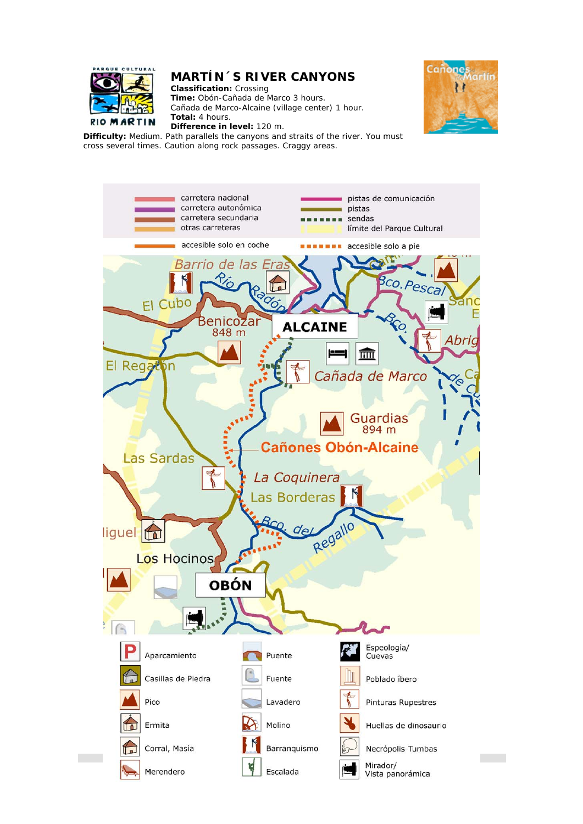

## **MARTÍN´S RIVER CANYONS**

**Classification:** Crossing **Time:** Obón-Cañada de Marco 3 hours. Cañada de Marco-Alcaine (village center) 1 hour. **Total:** 4 hours.



**Difference in level:** 120 m. **Difficulty:** Medium. Path parallels the canyons and straits of the river. You must cross several times. Caution along rock passages. Craggy areas.

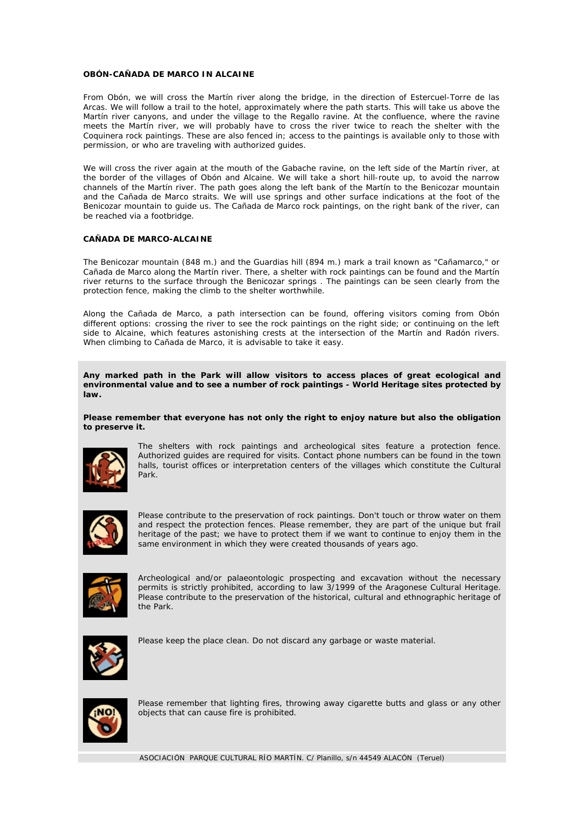## **OBÓN-CAÑADA DE MARCO IN ALCAINE**

From Obón, we will cross the Martín river along the bridge, in the direction of Estercuel-Torre de las Arcas. We will follow a trail to the hotel, approximately where the path starts. This will take us above the Martín river canyons, and under the village to the Regallo ravine. At the confluence, where the ravine meets the Martín river, we will probably have to cross the river twice to reach the shelter with the Coquinera rock paintings. These are also fenced in; access to the paintings is available only to those with permission, or who are traveling with authorized guides.

We will cross the river again at the mouth of the Gabache ravine, on the left side of the Martín river, at the border of the villages of Obón and Alcaine. We will take a short hill-route up, to avoid the narrow channels of the Martín river. The path goes along the left bank of the Martín to the Benicozar mountain and the Cañada de Marco straits. We will use springs and other surface indications at the foot of the Benicozar mountain to guide us. The Cañada de Marco rock paintings, on the right bank of the river, can be reached via a footbridge.

## **CAÑADA DE MARCO-ALCAINE**

The Benicozar mountain (848 m.) and the Guardias hill (894 m.) mark a trail known as "Cañamarco," or Cañada de Marco along the Martín river. There, a shelter with rock paintings can be found and the Martín river returns to the surface through the Benicozar springs . The paintings can be seen clearly from the protection fence, making the climb to the shelter worthwhile.

Along the Cañada de Marco, a path intersection can be found, offering visitors coming from Obón different options: crossing the river to see the rock paintings on the right side; or continuing on the left side to Alcaine, which features astonishing crests at the intersection of the Martín and Radón rivers. When climbing to Cañada de Marco, it is advisable to take it easy.

**Any marked path in the Park will allow visitors to access places of great ecological and environmental value and to see a number of rock paintings - World Heritage sites protected by law.** 

**Please remember that everyone has not only the right to enjoy nature but also the obligation to preserve it.**



The shelters with rock paintings and archeological sites feature a protection fence. Authorized guides are required for visits. Contact phone numbers can be found in the town halls, tourist offices or interpretation centers of the villages which constitute the Cultural Park.



Please contribute to the preservation of rock paintings. Don't touch or throw water on them and respect the protection fences. Please remember, they are part of the unique but frail heritage of the past; we have to protect them if we want to continue to enjoy them in the same environment in which they were created thousands of years ago.



Archeological and/or palaeontologic prospecting and excavation without the necessary permits is strictly prohibited, according to law 3/1999 of the Aragonese Cultural Heritage. Please contribute to the preservation of the historical, cultural and ethnographic heritage of the Park.



Please keep the place clean. Do not discard any garbage or waste material.



Please remember that lighting fires, throwing away cigarette butts and glass or any other objects that can cause fire is prohibited.

ASOCIACIÓN PARQUE CULTURAL RÍO MARTÍN. C/ Planillo, s/n 44549 ALACÓN (Teruel)